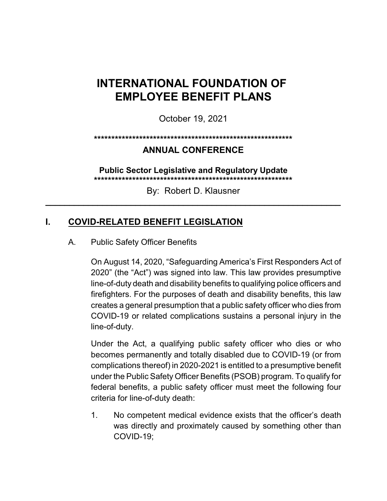# **INTERNATIONAL FOUNDATION OF EMPLOYEE BENEFIT PLANS**

October 19, 2021

#### **\*\*\*\*\*\*\*\*\*\*\*\*\*\*\*\*\*\*\*\*\*\*\*\*\*\*\*\*\*\*\*\*\*\*\*\*\*\*\*\*\*\*\*\*\*\*\*\*\*\*\*\*\*\*\*\*\***

### **ANNUAL CONFERENCE**

**Public Sector Legislative and Regulatory Update \*\*\*\*\*\*\*\*\*\*\*\*\*\*\*\*\*\*\*\*\*\*\*\*\*\*\*\*\*\*\*\*\*\*\*\*\*\*\*\*\*\*\*\*\*\*\*\*\*\*\*\*\*\*\*\*\***

By: Robert D. Klausner **\_\_\_\_\_\_\_\_\_\_\_\_\_\_\_\_\_\_\_\_\_\_\_\_\_\_\_\_\_\_\_\_\_\_\_\_\_\_\_\_\_\_\_\_\_\_\_\_\_\_\_\_\_\_\_\_\_\_\_\_\_\_**

# **I. COVID-RELATED BENEFIT LEGISLATION**

#### A. Public Safety Officer Benefits

On August 14, 2020, "Safeguarding America's First Responders Act of 2020" (the "Act") was signed into law. This law provides presumptive line-of-duty death and disability benefits to qualifying police officers and firefighters. For the purposes of death and disability benefits, this law creates a general presumption that a public safety officer who dies from COVID-19 or related complications sustains a personal injury in the line-of-duty.

Under the Act, a qualifying public safety officer who dies or who becomes permanently and totally disabled due to COVID-19 (or from complications thereof) in 2020-2021 is entitled to a presumptive benefit under the Public Safety Officer Benefits (PSOB) program. To qualify for federal benefits, a public safety officer must meet the following four criteria for line-of-duty death:

1. No competent medical evidence exists that the officer's death was directly and proximately caused by something other than COVID-19;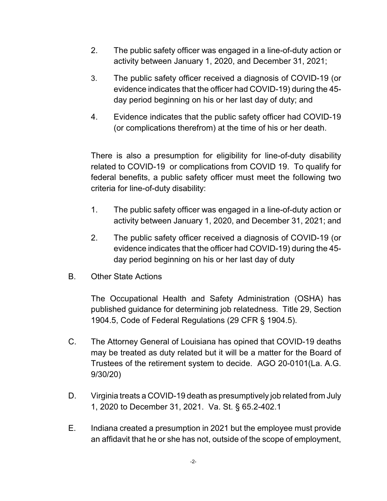- 2. The public safety officer was engaged in a line-of-duty action or activity between January 1, 2020, and December 31, 2021;
- 3. The public safety officer received a diagnosis of COVID-19 (or evidence indicates that the officer had COVID-19) during the 45 day period beginning on his or her last day of duty; and
- 4. Evidence indicates that the public safety officer had COVID-19 (or complications therefrom) at the time of his or her death.

There is also a presumption for eligibility for line-of-duty disability related to COVID-19 or complications from COVID 19. To qualify for federal benefits, a public safety officer must meet the following two criteria for line-of-duty disability:

- 1. The public safety officer was engaged in a line-of-duty action or activity between January 1, 2020, and December 31, 2021; and
- 2. The public safety officer received a diagnosis of COVID-19 (or evidence indicates that the officer had COVID-19) during the 45 day period beginning on his or her last day of duty
- B. Other State Actions

The Occupational Health and Safety Administration (OSHA) has published guidance for determining job relatedness. Title 29, Section 1904.5, Code of Federal Regulations (29 CFR § 1904.5).

- C. The Attorney General of Louisiana has opined that COVID-19 deaths may be treated as duty related but it will be a matter for the Board of Trustees of the retirement system to decide. AGO 20-0101(La. A.G. 9/30/20)
- D. Virginia treats a COVID-19 death as presumptively job related from July 1, 2020 to December 31, 2021. Va. St. § 65.2-402.1
- E. Indiana created a presumption in 2021 but the employee must provide an affidavit that he or she has not, outside of the scope of employment,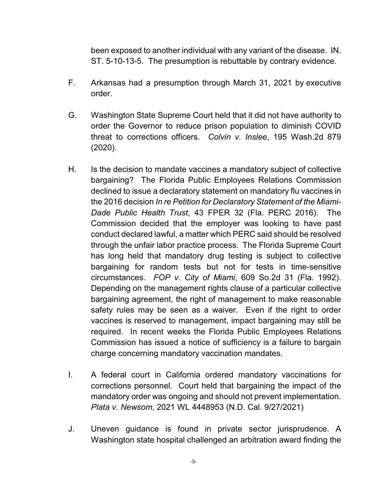been exposed to another individual with any variant of the disease. IN. ST. 5-10-13-5. The presumption is rebuttable by contrary evidence.

- F. Arkansas had a presumption through March 31, 2021 by executive order.
- G. Washington State Supreme Court held that it did not have authority to order the Governor to reduce prison population to diminish COVID threat to corrections officers. *Colvin v. Inslee*, 195 Wash.2d 879 (2020).
- H. Is the decision to mandate vaccines a mandatory subject of collective bargaining? The Florida Public Employees Relations Commission declined to issue a declaratory statement on mandatory flu vaccines in the 2016 decision *In re Petition for Declaratory Statement of the Miami-Dade Public Health Trust*, 43 FPER 32 (Fla. PERC 2016). The Commission decided that the employer was looking to have past conduct declared lawful, a matter which PERC said should be resolved through the unfair labor practice process. The Florida Supreme Court has long held that mandatory drug testing is subject to collective bargaining for random tests but not for tests in time-sensitive circumstances. *FOP v. City of Miami*, 609 So.2d 31 (Fla. 1992). Depending on the management rights clause of a particular collective bargaining agreement, the right of management to make reasonable safety rules may be seen as a waiver. Even if the right to order vaccines is reserved to management, impact bargaining may still be required. In recent weeks the Florida Public Employees Relations Commission has issued a notice of sufficiency is a failure to bargain charge concerning mandatory vaccination mandates.
- I. A federal court in California ordered mandatory vaccinations for corrections personnel. Court held that bargaining the impact of the mandatory order was ongoing and should not prevent implementation. *Plata v. Newsom*, 2021 WL 4448953 (N.D. Cal. 9/27/2021)
- J. Uneven guidance is found in private sector jurisprudence. A Washington state hospital challenged an arbitration award finding the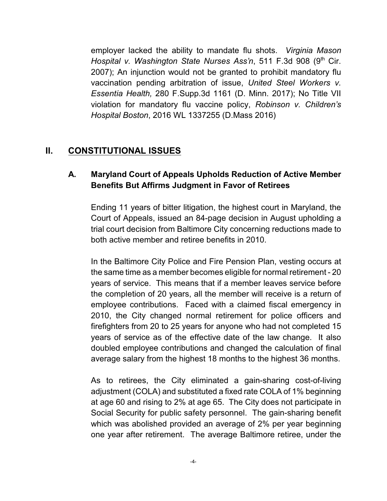employer lacked the ability to mandate flu shots. *Virginia Mason Hospital v. Washington State Nurses Ass'n,* 511 F.3d 908 (9<sup>th</sup> Cir. 2007); An injunction would not be granted to prohibit mandatory flu vaccination pending arbitration of issue, *United Steel Workers v. Essentia Health,* 280 F.Supp.3d 1161 (D. Minn. 2017); No Title VII violation for mandatory flu vaccine policy, *Robinson v. Children's Hospital Boston*, 2016 WL 1337255 (D.Mass 2016)

# **II. CONSTITUTIONAL ISSUES**

### **A. Maryland Court of Appeals Upholds Reduction of Active Member Benefits But Affirms Judgment in Favor of Retirees**

Ending 11 years of bitter litigation, the highest court in Maryland, the Court of Appeals, issued an 84-page decision in August upholding a trial court decision from Baltimore City concerning reductions made to both active member and retiree benefits in 2010.

In the Baltimore City Police and Fire Pension Plan, vesting occurs at the same time as a member becomes eligible for normal retirement - 20 years of service. This means that if a member leaves service before the completion of 20 years, all the member will receive is a return of employee contributions. Faced with a claimed fiscal emergency in 2010, the City changed normal retirement for police officers and firefighters from 20 to 25 years for anyone who had not completed 15 years of service as of the effective date of the law change. It also doubled employee contributions and changed the calculation of final average salary from the highest 18 months to the highest 36 months.

As to retirees, the City eliminated a gain-sharing cost-of-living adjustment (COLA) and substituted a fixed rate COLA of 1% beginning at age 60 and rising to 2% at age 65. The City does not participate in Social Security for public safety personnel. The gain-sharing benefit which was abolished provided an average of 2% per year beginning one year after retirement. The average Baltimore retiree, under the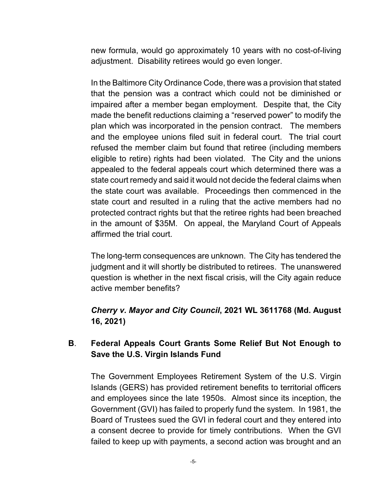new formula, would go approximately 10 years with no cost-of-living adjustment. Disability retirees would go even longer.

In the Baltimore City Ordinance Code, there was a provision that stated that the pension was a contract which could not be diminished or impaired after a member began employment. Despite that, the City made the benefit reductions claiming a "reserved power" to modify the plan which was incorporated in the pension contract. The members and the employee unions filed suit in federal court. The trial court refused the member claim but found that retiree (including members eligible to retire) rights had been violated. The City and the unions appealed to the federal appeals court which determined there was a state court remedy and said it would not decide the federal claims when the state court was available. Proceedings then commenced in the state court and resulted in a ruling that the active members had no protected contract rights but that the retiree rights had been breached in the amount of \$35M. On appeal, the Maryland Court of Appeals affirmed the trial court.

The long-term consequences are unknown. The City has tendered the judgment and it will shortly be distributed to retirees. The unanswered question is whether in the next fiscal crisis, will the City again reduce active member benefits?

### *Cherry v. Mayor and City Council***, 2021 WL 3611768 (Md. August 16, 2021)**

### **B**. **Federal Appeals Court Grants Some Relief But Not Enough to Save the U.S. Virgin Islands Fund**

The Government Employees Retirement System of the U.S. Virgin Islands (GERS) has provided retirement benefits to territorial officers and employees since the late 1950s. Almost since its inception, the Government (GVI) has failed to properly fund the system. In 1981, the Board of Trustees sued the GVI in federal court and they entered into a consent decree to provide for timely contributions. When the GVI failed to keep up with payments, a second action was brought and an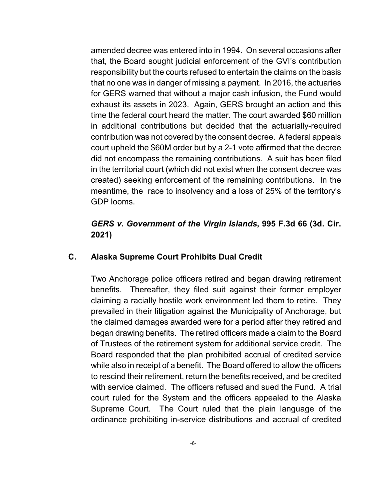amended decree was entered into in 1994. On several occasions after that, the Board sought judicial enforcement of the GVI's contribution responsibility but the courts refused to entertain the claims on the basis that no one was in danger of missing a payment. In 2016, the actuaries for GERS warned that without a major cash infusion, the Fund would exhaust its assets in 2023. Again, GERS brought an action and this time the federal court heard the matter. The court awarded \$60 million in additional contributions but decided that the actuarially-required contribution was not covered by the consent decree. A federal appeals court upheld the \$60M order but by a 2-1 vote affirmed that the decree did not encompass the remaining contributions. A suit has been filed in the territorial court (which did not exist when the consent decree was created) seeking enforcement of the remaining contributions. In the meantime, the race to insolvency and a loss of 25% of the territory's GDP looms.

### *GERS v. Government of the Virgin Islands***, 995 F.3d 66 (3d. Cir. 2021)**

#### **C. Alaska Supreme Court Prohibits Dual Credit**

Two Anchorage police officers retired and began drawing retirement benefits. Thereafter, they filed suit against their former employer claiming a racially hostile work environment led them to retire. They prevailed in their litigation against the Municipality of Anchorage, but the claimed damages awarded were for a period after they retired and began drawing benefits. The retired officers made a claim to the Board of Trustees of the retirement system for additional service credit. The Board responded that the plan prohibited accrual of credited service while also in receipt of a benefit. The Board offered to allow the officers to rescind their retirement, return the benefits received, and be credited with service claimed. The officers refused and sued the Fund. A trial court ruled for the System and the officers appealed to the Alaska Supreme Court. The Court ruled that the plain language of the ordinance prohibiting in-service distributions and accrual of credited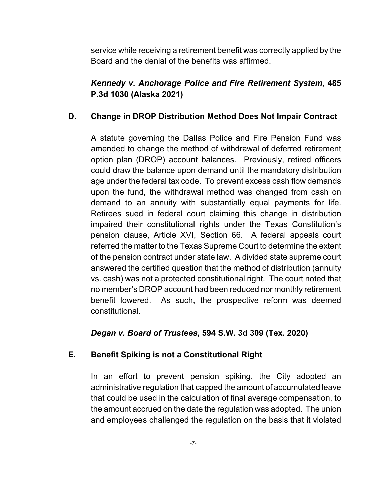service while receiving a retirement benefit was correctly applied by the Board and the denial of the benefits was affirmed.

### *Kennedy v. Anchorage Police and Fire Retirement System,* **485 P.3d 1030 (Alaska 2021)**

### **D. Change in DROP Distribution Method Does Not Impair Contract**

A statute governing the Dallas Police and Fire Pension Fund was amended to change the method of withdrawal of deferred retirement option plan (DROP) account balances. Previously, retired officers could draw the balance upon demand until the mandatory distribution age under the federal tax code. To prevent excess cash flow demands upon the fund, the withdrawal method was changed from cash on demand to an annuity with substantially equal payments for life. Retirees sued in federal court claiming this change in distribution impaired their constitutional rights under the Texas Constitution's pension clause, Article XVI, Section 66. A federal appeals court referred the matter to the Texas Supreme Court to determine the extent of the pension contract under state law. A divided state supreme court answered the certified question that the method of distribution (annuity vs. cash) was not a protected constitutional right. The court noted that no member's DROP account had been reduced nor monthly retirement benefit lowered. As such, the prospective reform was deemed constitutional.

### *Degan v. Board of Trustees,* **594 S.W. 3d 309 (Tex. 2020)**

### **E. Benefit Spiking is not a Constitutional Right**

In an effort to prevent pension spiking, the City adopted an administrative regulation that capped the amount of accumulated leave that could be used in the calculation of final average compensation, to the amount accrued on the date the regulation was adopted. The union and employees challenged the regulation on the basis that it violated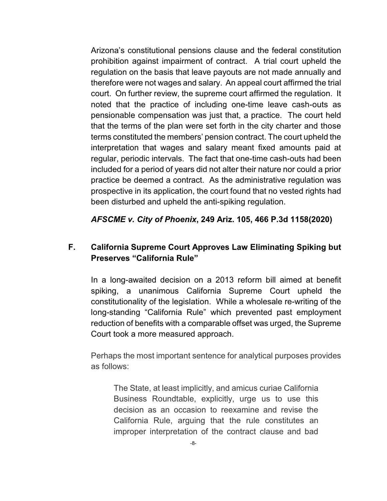Arizona's constitutional pensions clause and the federal constitution prohibition against impairment of contract. A trial court upheld the regulation on the basis that leave payouts are not made annually and therefore were not wages and salary. An appeal court affirmed the trial court. On further review, the supreme court affirmed the regulation. It noted that the practice of including one-time leave cash-outs as pensionable compensation was just that, a practice. The court held that the terms of the plan were set forth in the city charter and those terms constituted the members' pension contract. The court upheld the interpretation that wages and salary meant fixed amounts paid at regular, periodic intervals. The fact that one-time cash-outs had been included for a period of years did not alter their nature nor could a prior practice be deemed a contract. As the administrative regulation was prospective in its application, the court found that no vested rights had been disturbed and upheld the anti-spiking regulation.

*AFSCME v. City of Phoenix***, 249 Ariz. 105, 466 P.3d 1158(2020)**

### **F. California Supreme Court Approves Law Eliminating Spiking but Preserves "California Rule"**

In a long-awaited decision on a 2013 reform bill aimed at benefit spiking, a unanimous California Supreme Court upheld the constitutionality of the legislation. While a wholesale re-writing of the long-standing "California Rule" which prevented past employment reduction of benefits with a comparable offset was urged, the Supreme Court took a more measured approach.

Perhaps the most important sentence for analytical purposes provides as follows:

The State, at least implicitly, and amicus curiae California Business Roundtable, explicitly, urge us to use this decision as an occasion to reexamine and revise the California Rule, arguing that the rule constitutes an improper interpretation of the contract clause and bad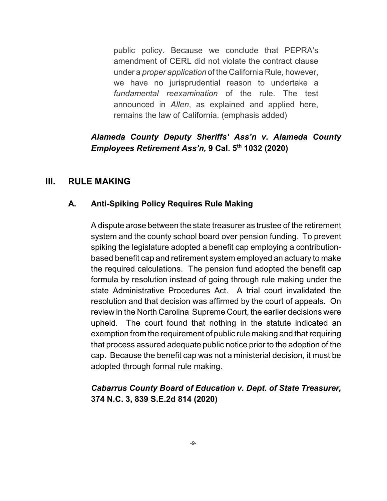public policy. Because we conclude that PEPRA's amendment of CERL did not violate the contract clause under a *proper application* of the California Rule, however, we have no jurisprudential reason to undertake a *fundamental reexamination* of the rule. The test announced in *Allen*, as explained and applied here, remains the law of California. (emphasis added)

### *Alameda County Deputy Sheriffs' Ass'n v. Alameda County Employees Retirement Ass'n,* **9 Cal. 5th 1032 (2020)**

### **III. RULE MAKING**

#### **A. Anti-Spiking Policy Requires Rule Making**

A dispute arose between the state treasurer as trustee of the retirement system and the county school board over pension funding. To prevent spiking the legislature adopted a benefit cap employing a contributionbased benefit cap and retirement system employed an actuary to make the required calculations. The pension fund adopted the benefit cap formula by resolution instead of going through rule making under the state Administrative Procedures Act. A trial court invalidated the resolution and that decision was affirmed by the court of appeals. On review in the North Carolina Supreme Court, the earlier decisions were upheld. The court found that nothing in the statute indicated an exemption from the requirement of public rule making and that requiring that process assured adequate public notice prior to the adoption of the cap. Because the benefit cap was not a ministerial decision, it must be adopted through formal rule making.

### *Cabarrus County Board of Education v. Dept. of State Treasurer,*  **374 N.C. 3, 839 S.E.2d 814 (2020)**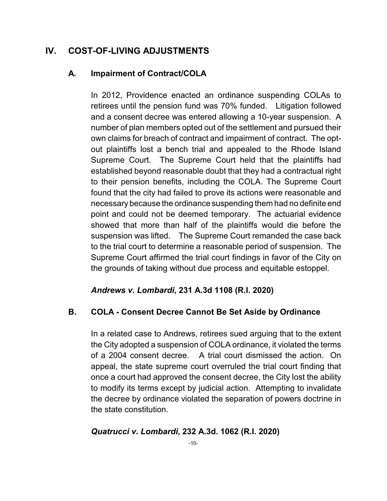### **IV. COST-OF-LIVING ADJUSTMENTS**

#### **A. Impairment of Contract/COLA**

In 2012, Providence enacted an ordinance suspending COLAs to retirees until the pension fund was 70% funded. Litigation followed and a consent decree was entered allowing a 10-year suspension. A number of plan members opted out of the settlement and pursued their own claims for breach of contract and impairment of contract. The optout plaintiffs lost a bench trial and appealed to the Rhode Island Supreme Court. The Supreme Court held that the plaintiffs had established beyond reasonable doubt that they had a contractual right to their pension benefits, including the COLA. The Supreme Court found that the city had failed to prove its actions were reasonable and necessary because the ordinance suspending them had no definite end point and could not be deemed temporary. The actuarial evidence showed that more than half of the plaintiffs would die before the suspension was lifted. The Supreme Court remanded the case back to the trial court to determine a reasonable period of suspension. The Supreme Court affirmed the trial court findings in favor of the City on the grounds of taking without due process and equitable estoppel.

#### *Andrews v. Lombardi***, 231 A.3d 1108 (R.I. 2020)**

#### **B. COLA - Consent Decree Cannot Be Set Aside by Ordinance**

In a related case to Andrews, retirees sued arguing that to the extent the City adopted a suspension of COLA ordinance, it violated the terms of a 2004 consent decree. A trial court dismissed the action. On appeal, the state supreme court overruled the trial court finding that once a court had approved the consent decree, the City lost the ability to modify its terms except by judicial action. Attempting to invalidate the decree by ordinance violated the separation of powers doctrine in the state constitution.

#### *Quatrucci v. Lombardi***, 232 A.3d. 1062 (R.I. 2020)**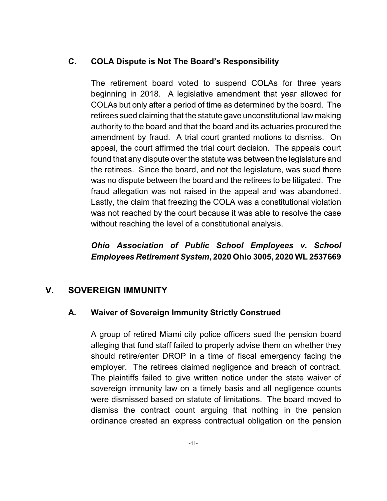#### **C. COLA Dispute is Not The Board's Responsibility**

The retirement board voted to suspend COLAs for three years beginning in 2018. A legislative amendment that year allowed for COLAs but only after a period of time as determined by the board. The retirees sued claiming that the statute gave unconstitutional law making authority to the board and that the board and its actuaries procured the amendment by fraud. A trial court granted motions to dismiss. On appeal, the court affirmed the trial court decision. The appeals court found that any dispute over the statute was between the legislature and the retirees. Since the board, and not the legislature, was sued there was no dispute between the board and the retirees to be litigated. The fraud allegation was not raised in the appeal and was abandoned. Lastly, the claim that freezing the COLA was a constitutional violation was not reached by the court because it was able to resolve the case without reaching the level of a constitutional analysis.

# *Ohio Association of Public School Employees v. School Employees Retirement System***, 2020 Ohio 3005, 2020 WL 2537669**

### **V. SOVEREIGN IMMUNITY**

### **A. Waiver of Sovereign Immunity Strictly Construed**

A group of retired Miami city police officers sued the pension board alleging that fund staff failed to properly advise them on whether they should retire/enter DROP in a time of fiscal emergency facing the employer. The retirees claimed negligence and breach of contract. The plaintiffs failed to give written notice under the state waiver of sovereign immunity law on a timely basis and all negligence counts were dismissed based on statute of limitations. The board moved to dismiss the contract count arguing that nothing in the pension ordinance created an express contractual obligation on the pension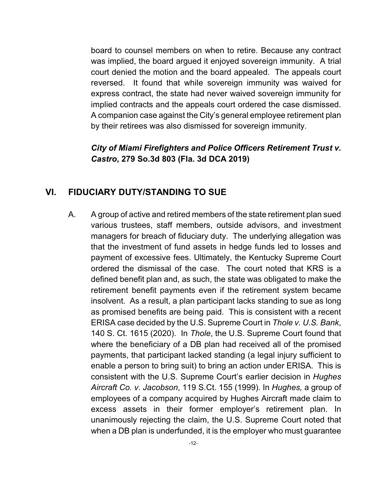board to counsel members on when to retire. Because any contract was implied, the board argued it enjoyed sovereign immunity. A trial court denied the motion and the board appealed. The appeals court reversed. It found that while sovereign immunity was waived for express contract, the state had never waived sovereign immunity for implied contracts and the appeals court ordered the case dismissed. A companion case against the City's general employee retirement plan by their retirees was also dismissed for sovereign immunity.

#### *City of Miami Firefighters and Police Officers Retirement Trust v. Castro***, 279 So.3d 803 (Fla. 3d DCA 2019)**

### **VI. FIDUCIARY DUTY/STANDING TO SUE**

A. A group of active and retired members of the state retirement plan sued various trustees, staff members, outside advisors, and investment managers for breach of fiduciary duty. The underlying allegation was that the investment of fund assets in hedge funds led to losses and payment of excessive fees. Ultimately, the Kentucky Supreme Court ordered the dismissal of the case. The court noted that KRS is a defined benefit plan and, as such, the state was obligated to make the retirement benefit payments even if the retirement system became insolvent. As a result, a plan participant lacks standing to sue as long as promised benefits are being paid. This is consistent with a recent ERISA case decided by the U.S. Supreme Court in *Thole v. U.S. Bank*, 140 S. Ct. 1615 (2020). In *Thole*, the U.S. Supreme Court found that where the beneficiary of a DB plan had received all of the promised payments, that participant lacked standing (a legal injury sufficient to enable a person to bring suit) to bring an action under ERISA. This is consistent with the U.S. Supreme Court's earlier decision in *Hughes Aircraft Co. v. Jacobson*, 119 S.Ct. 155 (1999)*.* In *Hughes,* a group of employees of a company acquired by Hughes Aircraft made claim to excess assets in their former employer's retirement plan. In unanimously rejecting the claim, the U.S. Supreme Court noted that when a DB plan is underfunded, it is the employer who must guarantee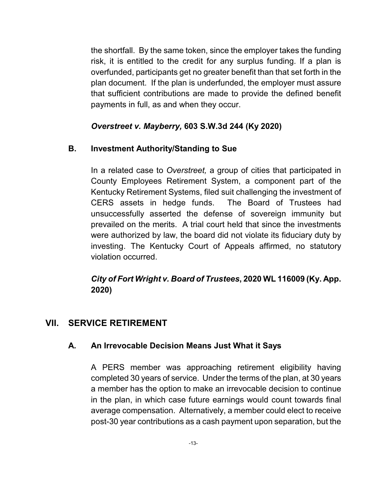the shortfall. By the same token, since the employer takes the funding risk, it is entitled to the credit for any surplus funding. If a plan is overfunded, participants get no greater benefit than that set forth in the plan document. If the plan is underfunded, the employer must assure that sufficient contributions are made to provide the defined benefit payments in full, as and when they occur.

### *Overstreet v. Mayberry,* **603 S.W.3d 244 (Ky 2020)**

#### **B. Investment Authority/Standing to Sue**

In a related case to *Overstreet,* a group of cities that participated in County Employees Retirement System, a component part of the Kentucky Retirement Systems, filed suit challenging the investment of CERS assets in hedge funds. The Board of Trustees had unsuccessfully asserted the defense of sovereign immunity but prevailed on the merits. A trial court held that since the investments were authorized by law, the board did not violate its fiduciary duty by investing. The Kentucky Court of Appeals affirmed, no statutory violation occurred.

### *City of Fort Wright v. Board of Trustees***, 2020 WL 116009 (Ky. App. 2020)**

### **VII. SERVICE RETIREMENT**

#### **A. An Irrevocable Decision Means Just What it Says**

A PERS member was approaching retirement eligibility having completed 30 years of service. Under the terms of the plan, at 30 years a member has the option to make an irrevocable decision to continue in the plan, in which case future earnings would count towards final average compensation. Alternatively, a member could elect to receive post-30 year contributions as a cash payment upon separation, but the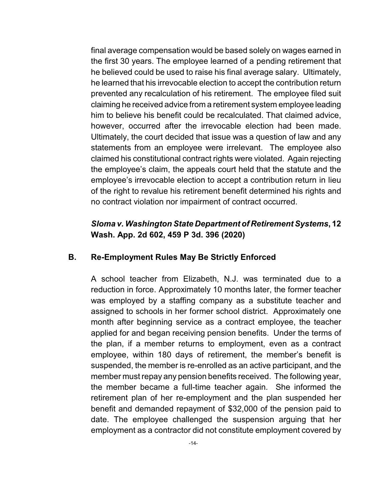final average compensation would be based solely on wages earned in the first 30 years. The employee learned of a pending retirement that he believed could be used to raise his final average salary. Ultimately, he learned that his irrevocable election to accept the contribution return prevented any recalculation of his retirement. The employee filed suit claiming he received advice from a retirement system employee leading him to believe his benefit could be recalculated. That claimed advice, however, occurred after the irrevocable election had been made. Ultimately, the court decided that issue was a question of law and any statements from an employee were irrelevant. The employee also claimed his constitutional contract rights were violated. Again rejecting the employee's claim, the appeals court held that the statute and the employee's irrevocable election to accept a contribution return in lieu of the right to revalue his retirement benefit determined his rights and no contract violation nor impairment of contract occurred.

#### *Sloma v. Washington State Department of Retirement Systems***, 12 Wash. App. 2d 602, 459 P 3d. 396 (2020)**

#### **B. Re-Employment Rules May Be Strictly Enforced**

A school teacher from Elizabeth, N.J. was terminated due to a reduction in force. Approximately 10 months later, the former teacher was employed by a staffing company as a substitute teacher and assigned to schools in her former school district. Approximately one month after beginning service as a contract employee, the teacher applied for and began receiving pension benefits. Under the terms of the plan, if a member returns to employment, even as a contract employee, within 180 days of retirement, the member's benefit is suspended, the member is re-enrolled as an active participant, and the member must repay any pension benefits received. The following year, the member became a full-time teacher again. She informed the retirement plan of her re-employment and the plan suspended her benefit and demanded repayment of \$32,000 of the pension paid to date. The employee challenged the suspension arguing that her employment as a contractor did not constitute employment covered by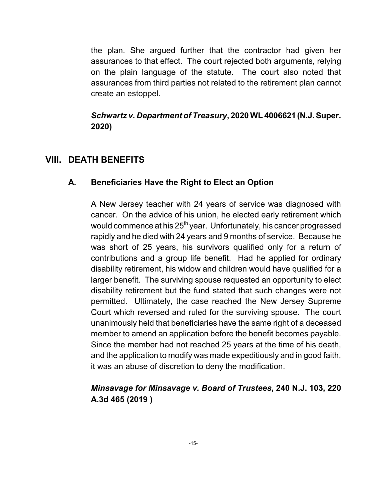the plan. She argued further that the contractor had given her assurances to that effect. The court rejected both arguments, relying on the plain language of the statute. The court also noted that assurances from third parties not related to the retirement plan cannot create an estoppel.

### *Schwartz v. Department of Treasury***, 2020 WL 4006621 (N.J.Super. 2020)**

### **VIII. DEATH BENEFITS**

### **A. Beneficiaries Have the Right to Elect an Option**

A New Jersey teacher with 24 years of service was diagnosed with cancer. On the advice of his union, he elected early retirement which would commence at his 25<sup>th</sup> year. Unfortunately, his cancer progressed rapidly and he died with 24 years and 9 months of service. Because he was short of 25 years, his survivors qualified only for a return of contributions and a group life benefit. Had he applied for ordinary disability retirement, his widow and children would have qualified for a larger benefit. The surviving spouse requested an opportunity to elect disability retirement but the fund stated that such changes were not permitted. Ultimately, the case reached the New Jersey Supreme Court which reversed and ruled for the surviving spouse. The court unanimously held that beneficiaries have the same right of a deceased member to amend an application before the benefit becomes payable. Since the member had not reached 25 years at the time of his death, and the application to modify was made expeditiously and in good faith, it was an abuse of discretion to deny the modification.

# *Minsavage for Minsavage v. Board of Trustees***, 240 N.J. 103, 220 A.3d 465 (2019 )**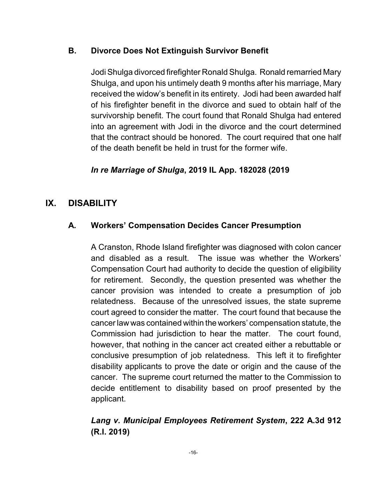#### **B. Divorce Does Not Extinguish Survivor Benefit**

Jodi Shulga divorced firefighter Ronald Shulga. Ronald remarried Mary Shulga, and upon his untimely death 9 months after his marriage, Mary received the widow's benefit in its entirety. Jodi had been awarded half of his firefighter benefit in the divorce and sued to obtain half of the survivorship benefit. The court found that Ronald Shulga had entered into an agreement with Jodi in the divorce and the court determined that the contract should be honored. The court required that one half of the death benefit be held in trust for the former wife.

### *In re Marriage of Shulga***, 2019 IL App. 182028 (2019**

### **IX. DISABILITY**

#### **A. Workers' Compensation Decides Cancer Presumption**

A Cranston, Rhode Island firefighter was diagnosed with colon cancer and disabled as a result. The issue was whether the Workers' Compensation Court had authority to decide the question of eligibility for retirement. Secondly, the question presented was whether the cancer provision was intended to create a presumption of job relatedness. Because of the unresolved issues, the state supreme court agreed to consider the matter. The court found that because the cancer law was contained within the workers' compensation statute, the Commission had jurisdiction to hear the matter. The court found, however, that nothing in the cancer act created either a rebuttable or conclusive presumption of job relatedness. This left it to firefighter disability applicants to prove the date or origin and the cause of the cancer. The supreme court returned the matter to the Commission to decide entitlement to disability based on proof presented by the applicant.

### *Lang v. Municipal Employees Retirement System***, 222 A.3d 912 (R.I. 2019)**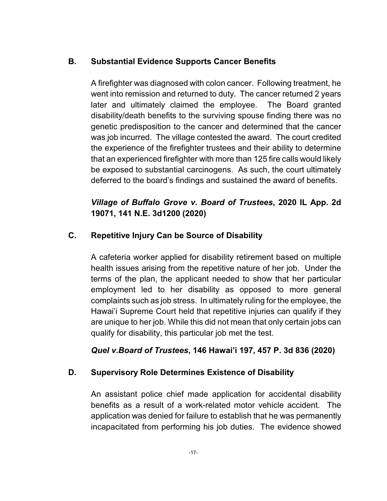### **B. Substantial Evidence Supports Cancer Benefits**

A firefighter was diagnosed with colon cancer. Following treatment, he went into remission and returned to duty. The cancer returned 2 years later and ultimately claimed the employee. The Board granted disability/death benefits to the surviving spouse finding there was no genetic predisposition to the cancer and determined that the cancer was job incurred. The village contested the award. The court credited the experience of the firefighter trustees and their ability to determine that an experienced firefighter with more than 125 fire calls would likely be exposed to substantial carcinogens. As such, the court ultimately deferred to the board's findings and sustained the award of benefits.

# *Village of Buffalo Grove v. Board of Trustees***, 2020 IL App. 2d 19071, 141 N.E. 3d1200 (2020)**

### **C. Repetitive Injury Can be Source of Disability**

A cafeteria worker applied for disability retirement based on multiple health issues arising from the repetitive nature of her job. Under the terms of the plan, the applicant needed to show that her particular employment led to her disability as opposed to more general complaints such as job stress. In ultimately ruling for the employee, the Hawai'i Supreme Court held that repetitive injuries can qualify if they are unique to her job. While this did not mean that only certain jobs can qualify for disability, this particular job met the test.

*Quel v.Board of Trustees***, 146 Hawai'i 197, 457 P. 3d 836 (2020)**

### **D. Supervisory Role Determines Existence of Disability**

An assistant police chief made application for accidental disability benefits as a result of a work-related motor vehicle accident. The application was denied for failure to establish that he was permanently incapacitated from performing his job duties. The evidence showed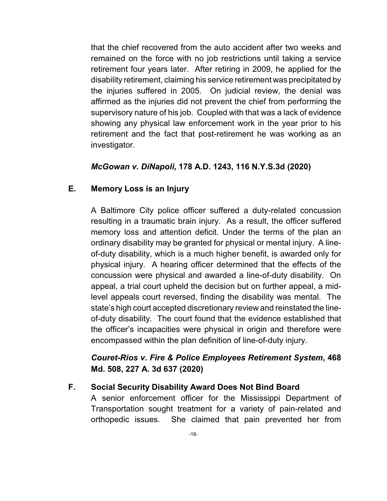that the chief recovered from the auto accident after two weeks and remained on the force with no job restrictions until taking a service retirement four years later. After retiring in 2009, he applied for the disability retirement, claiming his service retirement was precipitated by the injuries suffered in 2005. On judicial review, the denial was affirmed as the injuries did not prevent the chief from performing the supervisory nature of his job. Coupled with that was a lack of evidence showing any physical law enforcement work in the year prior to his retirement and the fact that post-retirement he was working as an investigator.

#### *McGowan v. DiNapoli***, 178 A.D. 1243, 116 N.Y.S.3d (2020)**

#### **E. Memory Loss is an Injury**

A Baltimore City police officer suffered a duty-related concussion resulting in a traumatic brain injury. As a result, the officer suffered memory loss and attention deficit. Under the terms of the plan an ordinary disability may be granted for physical or mental injury. A lineof-duty disability, which is a much higher benefit, is awarded only for physical injury. A hearing officer determined that the effects of the concussion were physical and awarded a line-of-duty disability. On appeal, a trial court upheld the decision but on further appeal, a midlevel appeals court reversed, finding the disability was mental. The state's high court accepted discretionary review and reinstated the lineof-duty disability. The court found that the evidence established that the officer's incapacities were physical in origin and therefore were encompassed within the plan definition of line-of-duty injury.

### *Couret-Rios v. Fire & Police Employees Retirement System***, 468 Md. 508, 227 A. 3d 637 (2020)**

#### **F. Social Security Disability Award Does Not Bind Board**

A senior enforcement officer for the Mississippi Department of Transportation sought treatment for a variety of pain-related and orthopedic issues. She claimed that pain prevented her from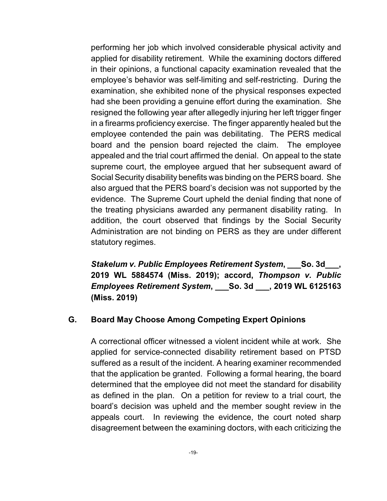performing her job which involved considerable physical activity and applied for disability retirement. While the examining doctors differed in their opinions, a functional capacity examination revealed that the employee's behavior was self-limiting and self-restricting. During the examination, she exhibited none of the physical responses expected had she been providing a genuine effort during the examination. She resigned the following year after allegedly injuring her left trigger finger in a firearms proficiency exercise. The finger apparently healed but the employee contended the pain was debilitating. The PERS medical board and the pension board rejected the claim. The employee appealed and the trial court affirmed the denial. On appeal to the state supreme court, the employee argued that her subsequent award of Social Security disability benefits was binding on the PERS board. She also argued that the PERS board's decision was not supported by the evidence. The Supreme Court upheld the denial finding that none of the treating physicians awarded any permanent disability rating. In addition, the court observed that findings by the Social Security Administration are not binding on PERS as they are under different statutory regimes.

*Stakelum v. Public Employees Retirement System***, \_\_\_So. 3d\_\_\_, 2019 WL 5884574 (Miss. 2019); accord,** *Thompson v. Public Employees Retirement System***, \_\_\_So. 3d \_\_\_, 2019 WL 6125163 (Miss. 2019)**

#### **G. Board May Choose Among Competing Expert Opinions**

A correctional officer witnessed a violent incident while at work. She applied for service-connected disability retirement based on PTSD suffered as a result of the incident. A hearing examiner recommended that the application be granted. Following a formal hearing, the board determined that the employee did not meet the standard for disability as defined in the plan. On a petition for review to a trial court, the board's decision was upheld and the member sought review in the appeals court. In reviewing the evidence, the court noted sharp disagreement between the examining doctors, with each criticizing the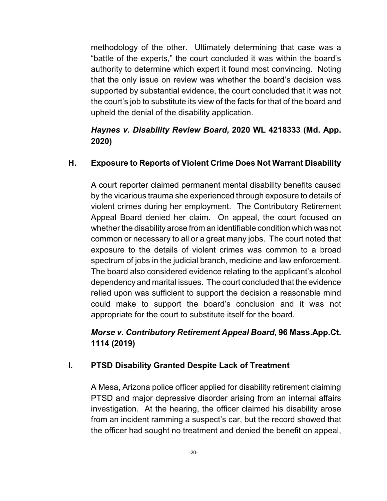methodology of the other. Ultimately determining that case was a "battle of the experts," the court concluded it was within the board's authority to determine which expert it found most convincing. Noting that the only issue on review was whether the board's decision was supported by substantial evidence, the court concluded that it was not the court's job to substitute its view of the facts for that of the board and upheld the denial of the disability application.

# *Haynes v. Disability Review Board***, 2020 WL 4218333 (Md. App. 2020)**

### **H. Exposure to Reports of Violent Crime Does Not Warrant Disability**

A court reporter claimed permanent mental disability benefits caused by the vicarious trauma she experienced through exposure to details of violent crimes during her employment. The Contributory Retirement Appeal Board denied her claim. On appeal, the court focused on whether the disability arose from an identifiable condition which was not common or necessary to all or a great many jobs. The court noted that exposure to the details of violent crimes was common to a broad spectrum of jobs in the judicial branch, medicine and law enforcement. The board also considered evidence relating to the applicant's alcohol dependency and marital issues. The court concluded that the evidence relied upon was sufficient to support the decision a reasonable mind could make to support the board's conclusion and it was not appropriate for the court to substitute itself for the board.

# *Morse v. Contributory Retirement Appeal Board***, 96 Mass.App.Ct. 1114 (2019)**

### **I. PTSD Disability Granted Despite Lack of Treatment**

A Mesa, Arizona police officer applied for disability retirement claiming PTSD and major depressive disorder arising from an internal affairs investigation. At the hearing, the officer claimed his disability arose from an incident ramming a suspect's car, but the record showed that the officer had sought no treatment and denied the benefit on appeal,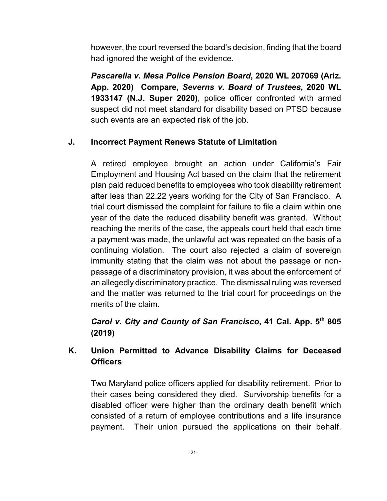however, the court reversed the board's decision, finding that the board had ignored the weight of the evidence.

*Pascarella v. Mesa Police Pension Board***, 2020 WL 207069 (Ariz. App. 2020) Compare,** *Severns v. Board of Trustees***, 2020 WL 1933147 (N.J. Super 2020)**, police officer confronted with armed suspect did not meet standard for disability based on PTSD because such events are an expected risk of the job.

### **J. Incorrect Payment Renews Statute of Limitation**

A retired employee brought an action under California's Fair Employment and Housing Act based on the claim that the retirement plan paid reduced benefits to employees who took disability retirement after less than 22.22 years working for the City of San Francisco. A trial court dismissed the complaint for failure to file a claim within one year of the date the reduced disability benefit was granted. Without reaching the merits of the case, the appeals court held that each time a payment was made, the unlawful act was repeated on the basis of a continuing violation. The court also rejected a claim of sovereign immunity stating that the claim was not about the passage or nonpassage of a discriminatory provision, it was about the enforcement of an allegedly discriminatory practice. The dismissal ruling was reversed and the matter was returned to the trial court for proceedings on the merits of the claim.

*Carol v. City and County of San Francisco***, 41 Cal. App. 5 th 805 (2019)**

### **K. Union Permitted to Advance Disability Claims for Deceased Officers**

Two Maryland police officers applied for disability retirement. Prior to their cases being considered they died. Survivorship benefits for a disabled officer were higher than the ordinary death benefit which consisted of a return of employee contributions and a life insurance payment. Their union pursued the applications on their behalf.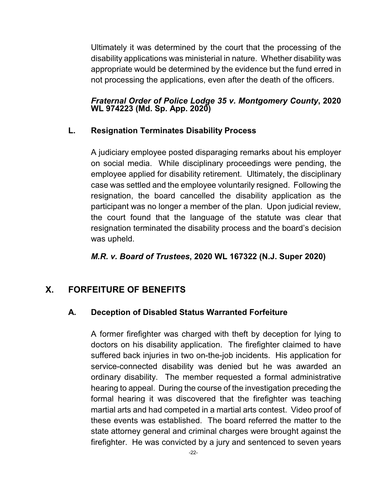Ultimately it was determined by the court that the processing of the disability applications was ministerial in nature. Whether disability was appropriate would be determined by the evidence but the fund erred in not processing the applications, even after the death of the officers.

#### *Fraternal Order of Police Lodge 35 v. Montgomery County***, 2020 WL 974223 (Md. Sp. App. 2020)**

#### **L. Resignation Terminates Disability Process**

A judiciary employee posted disparaging remarks about his employer on social media. While disciplinary proceedings were pending, the employee applied for disability retirement. Ultimately, the disciplinary case was settled and the employee voluntarily resigned. Following the resignation, the board cancelled the disability application as the participant was no longer a member of the plan. Upon judicial review, the court found that the language of the statute was clear that resignation terminated the disability process and the board's decision was upheld.

#### *M.R. v. Board of Trustees***, 2020 WL 167322 (N.J. Super 2020)**

### **X. FORFEITURE OF BENEFITS**

### **A. Deception of Disabled Status Warranted Forfeiture**

A former firefighter was charged with theft by deception for lying to doctors on his disability application. The firefighter claimed to have suffered back injuries in two on-the-job incidents. His application for service-connected disability was denied but he was awarded an ordinary disability. The member requested a formal administrative hearing to appeal. During the course of the investigation preceding the formal hearing it was discovered that the firefighter was teaching martial arts and had competed in a martial arts contest. Video proof of these events was established. The board referred the matter to the state attorney general and criminal charges were brought against the firefighter. He was convicted by a jury and sentenced to seven years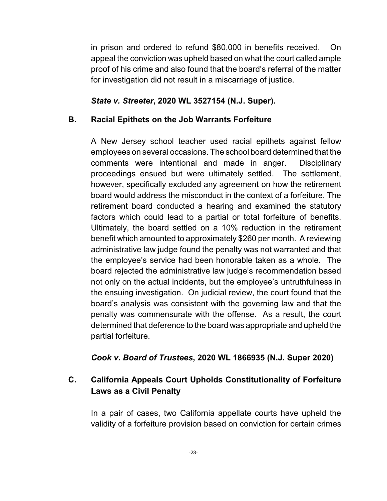in prison and ordered to refund \$80,000 in benefits received. On appeal the conviction was upheld based on what the court called ample proof of his crime and also found that the board's referral of the matter for investigation did not result in a miscarriage of justice.

#### *State v. Streeter***, 2020 WL 3527154 (N.J. Super).**

#### **B. Racial Epithets on the Job Warrants Forfeiture**

A New Jersey school teacher used racial epithets against fellow employees on several occasions. The school board determined that the comments were intentional and made in anger. Disciplinary proceedings ensued but were ultimately settled. The settlement, however, specifically excluded any agreement on how the retirement board would address the misconduct in the context of a forfeiture. The retirement board conducted a hearing and examined the statutory factors which could lead to a partial or total forfeiture of benefits. Ultimately, the board settled on a 10% reduction in the retirement benefit which amounted to approximately \$260 per month. A reviewing administrative law judge found the penalty was not warranted and that the employee's service had been honorable taken as a whole. The board rejected the administrative law judge's recommendation based not only on the actual incidents, but the employee's untruthfulness in the ensuing investigation. On judicial review, the court found that the board's analysis was consistent with the governing law and that the penalty was commensurate with the offense. As a result, the court determined that deference to the board was appropriate and upheld the partial forfeiture.

### *Cook v. Board of Trustees***, 2020 WL 1866935 (N.J. Super 2020)**

### **C. California Appeals Court Upholds Constitutionality of Forfeiture Laws as a Civil Penalty**

In a pair of cases, two California appellate courts have upheld the validity of a forfeiture provision based on conviction for certain crimes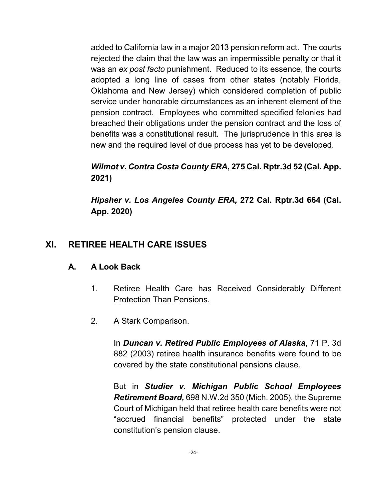added to California law in a major 2013 pension reform act. The courts rejected the claim that the law was an impermissible penalty or that it was an *ex post facto* punishment. Reduced to its essence, the courts adopted a long line of cases from other states (notably Florida, Oklahoma and New Jersey) which considered completion of public service under honorable circumstances as an inherent element of the pension contract. Employees who committed specified felonies had breached their obligations under the pension contract and the loss of benefits was a constitutional result. The jurisprudence in this area is new and the required level of due process has yet to be developed.

# *Wilmot v. Contra Costa County ERA***, 275 Cal. Rptr.3d 52 (Cal. App. 2021)**

*Hipsher v. Los Angeles County ERA,* **272 Cal. Rptr.3d 664 (Cal. App. 2020)**

# **XI. RETIREE HEALTH CARE ISSUES**

### **A. A Look Back**

- 1. Retiree Health Care has Received Considerably Different Protection Than Pensions.
- 2. A Stark Comparison.

In *Duncan v. Retired Public Employees of Alaska*, 71 P. 3d 882 (2003) retiree health insurance benefits were found to be covered by the state constitutional pensions clause.

But in *Studier v. Michigan Public School Employees Retirement Board,* 698 N.W.2d 350 (Mich. 2005), the Supreme Court of Michigan held that retiree health care benefits were not "accrued financial benefits" protected under the state constitution's pension clause.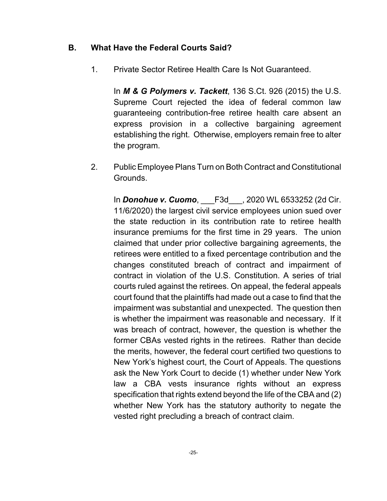#### **B. What Have the Federal Courts Said?**

1. Private Sector Retiree Health Care Is Not Guaranteed.

In *M & G Polymers v. Tackett*, 136 S.Ct. 926 (2015) the U.S. Supreme Court rejected the idea of federal common law guaranteeing contribution-free retiree health care absent an express provision in a collective bargaining agreement establishing the right. Otherwise, employers remain free to alter the program.

2. Public Employee Plans Turn on Both Contract and Constitutional Grounds.

In *Donohue v. Cuomo*, \_\_\_F3d\_\_\_, 2020 WL 6533252 (2d Cir. 11/6/2020) the largest civil service employees union sued over the state reduction in its contribution rate to retiree health insurance premiums for the first time in 29 years. The union claimed that under prior collective bargaining agreements, the retirees were entitled to a fixed percentage contribution and the changes constituted breach of contract and impairment of contract in violation of the U.S. Constitution. A series of trial courts ruled against the retirees. On appeal, the federal appeals court found that the plaintiffs had made out a case to find that the impairment was substantial and unexpected. The question then is whether the impairment was reasonable and necessary. If it was breach of contract, however, the question is whether the former CBAs vested rights in the retirees. Rather than decide the merits, however, the federal court certified two questions to New York's highest court, the Court of Appeals. The questions ask the New York Court to decide (1) whether under New York law a CBA vests insurance rights without an express specification that rights extend beyond the life of the CBA and (2) whether New York has the statutory authority to negate the vested right precluding a breach of contract claim.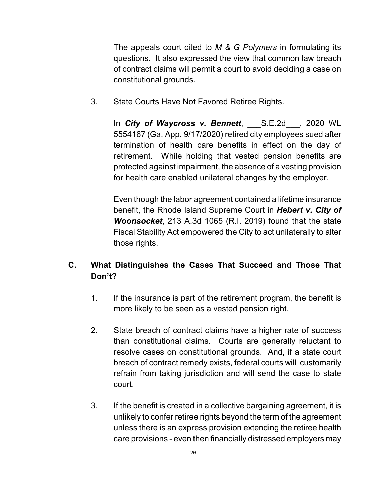The appeals court cited to *M & G Polymers* in formulating its questions. It also expressed the view that common law breach of contract claims will permit a court to avoid deciding a case on constitutional grounds.

3. State Courts Have Not Favored Retiree Rights.

In *City of Waycross v. Bennett*, S.E.2d , 2020 WL 5554167 (Ga. App. 9/17/2020) retired city employees sued after termination of health care benefits in effect on the day of retirement. While holding that vested pension benefits are protected against impairment, the absence of a vesting provision for health care enabled unilateral changes by the employer.

Even though the labor agreement contained a lifetime insurance benefit, the Rhode Island Supreme Court in *Hebert v. City of Woonsocket*, 213 A.3d 1065 (R.I. 2019) found that the state Fiscal Stability Act empowered the City to act unilaterally to alter those rights.

# **C. What Distinguishes the Cases That Succeed and Those That Don't?**

- 1. If the insurance is part of the retirement program, the benefit is more likely to be seen as a vested pension right.
- 2. State breach of contract claims have a higher rate of success than constitutional claims. Courts are generally reluctant to resolve cases on constitutional grounds. And, if a state court breach of contract remedy exists, federal courts will customarily refrain from taking jurisdiction and will send the case to state court.
- 3. If the benefit is created in a collective bargaining agreement, it is unlikely to confer retiree rights beyond the term of the agreement unless there is an express provision extending the retiree health care provisions - even then financially distressed employers may